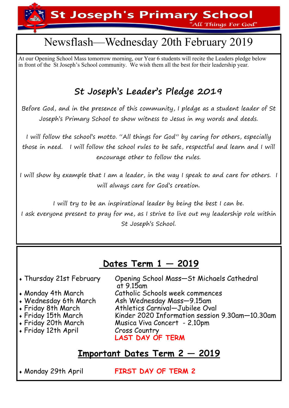**St Joseph's Primary School** 'All Things For God"

## Newsflash—Wednesday 20th February 2019

At our Opening School Mass tomorrow morning, our Year 6 students will recite the Leaders pledge below in front of the St Joseph's School community. We wish them all the best for their leadership year.

## **St Joseph's Leader's Pledge 2019**

Before God, and in the presence of this community, I pledge as a student leader of St Joseph's Primary School to show witness to Jesus in my words and deeds.

I will follow the school's motto. "All things for God" by caring for others, especially those in need. I will follow the school rules to be safe, respectful and learn and I will encourage other to follow the rules.

I will show by example that I am a leader, in the way I speak to and care for others. I will always care for God's creation.

I will try to be an inspirational leader by being the best I can be.

I ask everyone present to pray for me, as I strive to live out my leadership role within St Joseph's School.

### **Dates Term 1 — 2019**

- at 9.15am<br>A Monday 4th March Catholic So
- 
- 
- 
- 
- $\cdot$  Friday 12th April

Thursday 21st February Opening School Mass—St Michaels Cathedral Catholic Schools week commences Wednesday 6th March Ash Wednesday Mass—9.15am Athletics Carnival—Jubilee Oval Friday 15th March Kinder 2020 Information session 9.30am—10.30am Friday 20th March Musica Viva Concert - 2.10pm **LAST DAY OF TERM**

### **Important Dates Term 2 — 2019**

Monday 29th April **FIRST DAY OF TERM 2**